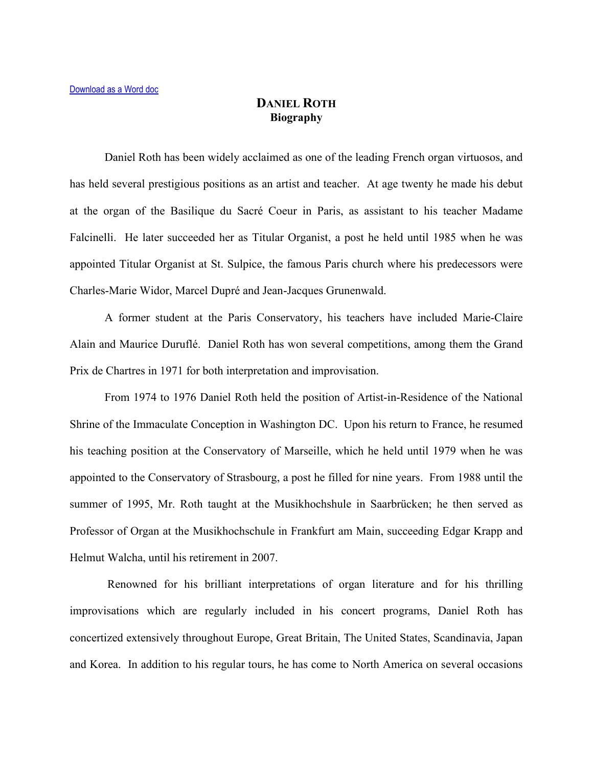## **DANIEL ROTH Biography**

Daniel Roth has been widely acclaimed as one of the leading French organ virtuosos, and has held several prestigious positions as an artist and teacher. At age twenty he made his debut at the organ of the Basilique du Sacré Coeur in Paris, as assistant to his teacher Madame Falcinelli. He later succeeded her as Titular Organist, a post he held until 1985 when he was appointed Titular Organist at St. Sulpice, the famous Paris church where his predecessors were Charles-Marie Widor, Marcel Dupré and Jean-Jacques Grunenwald.

A former student at the Paris Conservatory, his teachers have included Marie-Claire Alain and Maurice Duruflé. Daniel Roth has won several competitions, among them the Grand Prix de Chartres in 1971 for both interpretation and improvisation.

From 1974 to 1976 Daniel Roth held the position of Artist-in-Residence of the National Shrine of the Immaculate Conception in Washington DC. Upon his return to France, he resumed his teaching position at the Conservatory of Marseille, which he held until 1979 when he was appointed to the Conservatory of Strasbourg, a post he filled for nine years. From 1988 until the summer of 1995, Mr. Roth taught at the Musikhochshule in Saarbrücken; he then served as Professor of Organ at the Musikhochschule in Frankfurt am Main, succeeding Edgar Krapp and Helmut Walcha, until his retirement in 2007.

 Renowned for his brilliant interpretations of organ literature and for his thrilling improvisations which are regularly included in his concert programs, Daniel Roth has concertized extensively throughout Europe, Great Britain, The United States, Scandinavia, Japan and Korea. In addition to his regular tours, he has come to North America on several occasions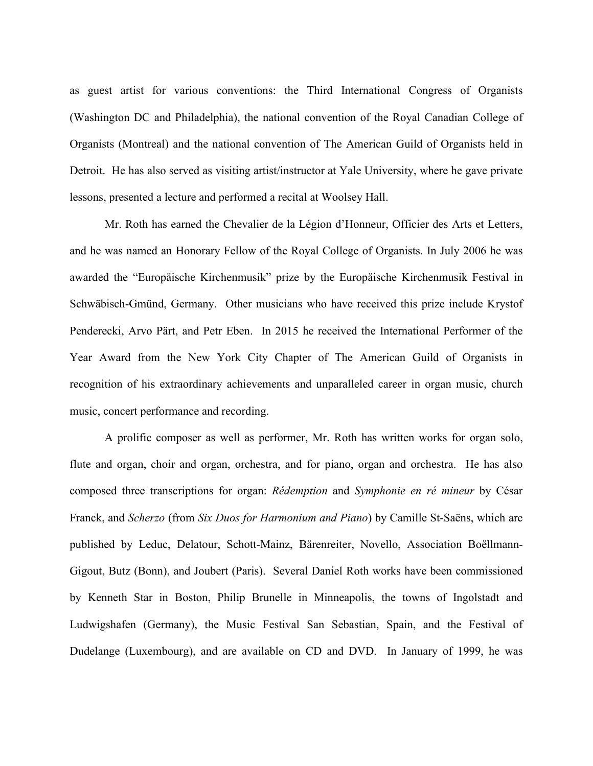as guest artist for various conventions: the Third International Congress of Organists (Washington DC and Philadelphia), the national convention of the Royal Canadian College of Organists (Montreal) and the national convention of The American Guild of Organists held in Detroit. He has also served as visiting artist/instructor at Yale University, where he gave private lessons, presented a lecture and performed a recital at Woolsey Hall.

Mr. Roth has earned the Chevalier de la Légion d'Honneur, Officier des Arts et Letters, and he was named an Honorary Fellow of the Royal College of Organists. In July 2006 he was awarded the "Europäische Kirchenmusik" prize by the Europäische Kirchenmusik Festival in Schwäbisch-Gmünd, Germany. Other musicians who have received this prize include Krystof Penderecki, Arvo Pärt, and Petr Eben. In 2015 he received the International Performer of the Year Award from the New York City Chapter of The American Guild of Organists in recognition of his extraordinary achievements and unparalleled career in organ music, church music, concert performance and recording.

A prolific composer as well as performer, Mr. Roth has written works for organ solo, flute and organ, choir and organ, orchestra, and for piano, organ and orchestra. He has also composed three transcriptions for organ: *Rédemption* and *Symphonie en ré mineur* by César Franck, and *Scherzo* (from *Six Duos for Harmonium and Piano*) by Camille St-Saëns, which are published by Leduc, Delatour, Schott-Mainz, Bärenreiter, Novello, Association Boëllmann-Gigout, Butz (Bonn), and Joubert (Paris). Several Daniel Roth works have been commissioned by Kenneth Star in Boston, Philip Brunelle in Minneapolis, the towns of Ingolstadt and Ludwigshafen (Germany), the Music Festival San Sebastian, Spain, and the Festival of Dudelange (Luxembourg), and are available on CD and DVD. In January of 1999, he was